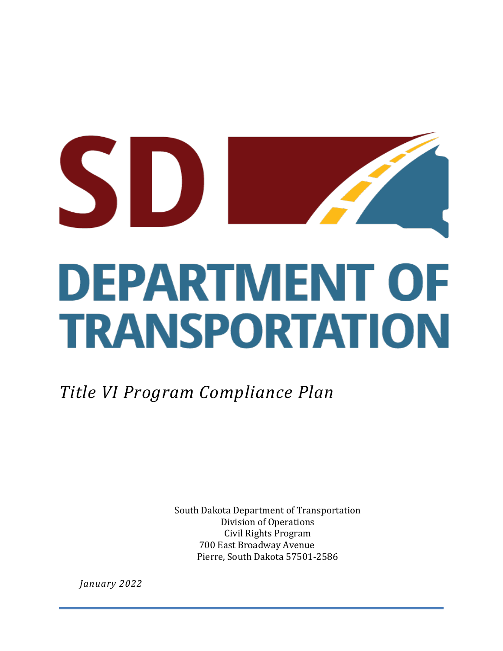# SD **DEPARTMENT OF TRANSPORTATION**

*Title VI Program Compliance Plan*

South Dakota Department of Transportation Division of Operations Civil Rights Program 700 East Broadway Avenue Pierre, South Dakota 57501-2586

*January 2022*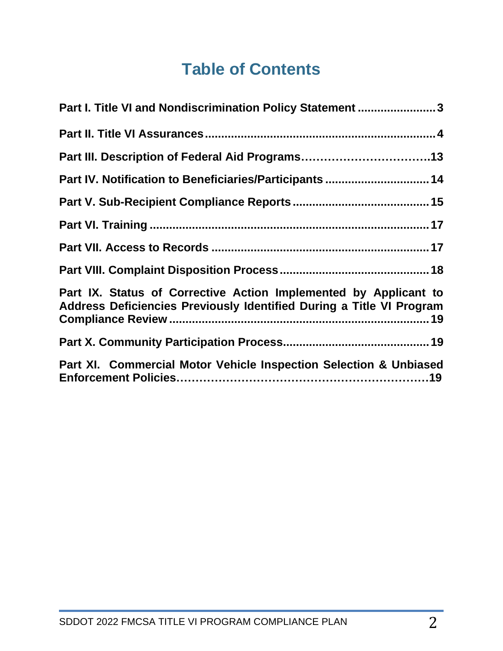# **Table of Contents**

| Part I. Title VI and Nondiscrimination Policy Statement 3                                                                                |
|------------------------------------------------------------------------------------------------------------------------------------------|
|                                                                                                                                          |
| Part III. Description of Federal Aid Programs13                                                                                          |
| Part IV. Notification to Beneficiaries/Participants  14                                                                                  |
|                                                                                                                                          |
|                                                                                                                                          |
|                                                                                                                                          |
|                                                                                                                                          |
| Part IX. Status of Corrective Action Implemented by Applicant to<br>Address Deficiencies Previously Identified During a Title VI Program |
|                                                                                                                                          |
| Part XI. Commercial Motor Vehicle Inspection Selection & Unbiased                                                                        |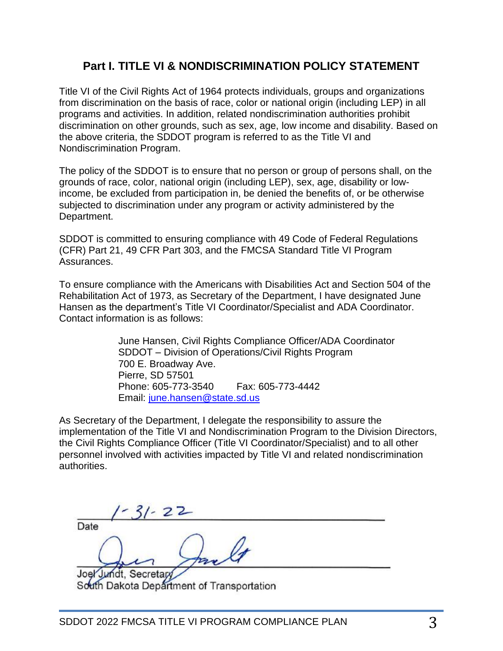# **Part I. TITLE VI & NONDISCRIMINATION POLICY STATEMENT**

Title VI of the Civil Rights Act of 1964 protects individuals, groups and organizations from discrimination on the basis of race, color or national origin (including LEP) in all programs and activities. In addition, related nondiscrimination authorities prohibit discrimination on other grounds, such as sex, age, low income and disability. Based on the above criteria, the SDDOT program is referred to as the Title VI and Nondiscrimination Program.

The policy of the SDDOT is to ensure that no person or group of persons shall, on the grounds of race, color, national origin (including LEP), sex, age, disability or lowincome, be excluded from participation in, be denied the benefits of, or be otherwise subjected to discrimination under any program or activity administered by the Department.

SDDOT is committed to ensuring compliance with 49 Code of Federal Regulations (CFR) Part 21, 49 CFR Part 303, and the FMCSA Standard Title VI Program Assurances.

To ensure compliance with the Americans with Disabilities Act and Section 504 of the Rehabilitation Act of 1973, as Secretary of the Department, I have designated June Hansen as the department's Title VI Coordinator/Specialist and ADA Coordinator. Contact information is as follows:

> June Hansen, Civil Rights Compliance Officer/ADA Coordinator SDDOT – Division of Operations/Civil Rights Program 700 E. Broadway Ave. Pierre, SD 57501 Phone: 605-773-3540 Fax: 605-773-4442 Email: [june.hansen@state.sd.us](mailto:june.hansen@state.sd.us)

As Secretary of the Department, I delegate the responsibility to assure the implementation of the Title VI and Nondiscrimination Program to the Division Directors, the Civil Rights Compliance Officer (Title VI Coordinator/Specialist) and to all other personnel involved with activities impacted by Title VI and related nondiscrimination authorities.

 $31 - 22$ Date Joel Jundt, Secretar

South Dakota Department of Transportation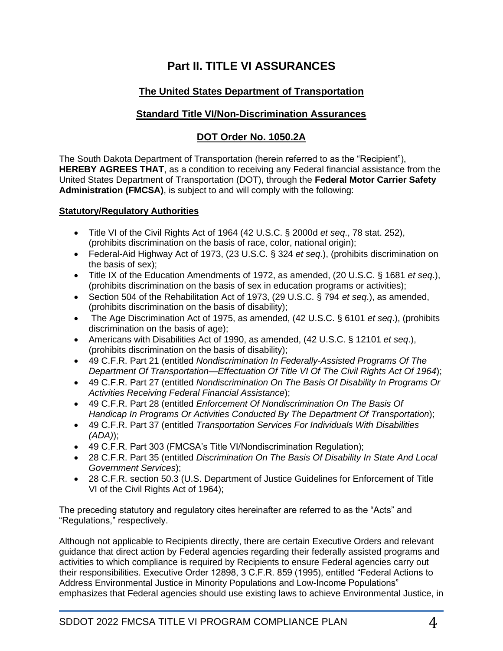# **Part II. TITLE VI ASSURANCES**

## **The United States Department of Transportation**

### **Standard Title VI/Non-Discrimination Assurances**

### **DOT Order No. 1050.2A**

The South Dakota Department of Transportation (herein referred to as the "Recipient"), **HEREBY AGREES THAT**, as a condition to receiving any Federal financial assistance from the United States Department of Transportation (DOT), through the **Federal Motor Carrier Safety Administration (FMCSA)**, is subject to and will comply with the following:

### **Statutory/Regulatory Authorities**

- Title VI of the Civil Rights Act of 1964 (42 U.S.C. § 2000d *et seq*., 78 stat. 252), (prohibits discrimination on the basis of race, color, national origin);
- Federal-Aid Highway Act of 1973, (23 U.S.C. § 324 *et seq*.), (prohibits discrimination on the basis of sex);
- Title IX of the Education Amendments of 1972, as amended, (20 U.S.C. § 1681 *et seq*.), (prohibits discrimination on the basis of sex in education programs or activities);
- Section 504 of the Rehabilitation Act of 1973, (29 U.S.C. § 794 *et seq*.), as amended, (prohibits discrimination on the basis of disability);
- The Age Discrimination Act of 1975, as amended, (42 U.S.C. § 6101 *et seq*.), (prohibits discrimination on the basis of age);
- Americans with Disabilities Act of 1990, as amended, (42 U.S.C. § 12101 *et seq*.), (prohibits discrimination on the basis of disability);
- 49 C.F.R. Part 21 (entitled *Nondiscrimination In Federally-Assisted Programs Of The Department Of Transportation—Effectuation Of Title VI Of The Civil Rights Act Of 1964*);
- 49 C.F.R. Part 27 (entitled *Nondiscrimination On The Basis Of Disability In Programs Or Activities Receiving Federal Financial Assistance*);
- 49 C.F.R. Part 28 (entitled *Enforcement Of Nondiscrimination On The Basis Of Handicap In Programs Or Activities Conducted By The Department Of Transportation*);
- 49 C.F.R. Part 37 (entitled *Transportation Services For Individuals With Disabilities (ADA)*);
- 49 C.F.R. Part 303 (FMCSA's Title VI/Nondiscrimination Regulation);
- 28 C.F.R. Part 35 (entitled *Discrimination On The Basis Of Disability In State And Local Government Services*);
- 28 C.F.R. section 50.3 (U.S. Department of Justice Guidelines for Enforcement of Title VI of the Civil Rights Act of 1964);

The preceding statutory and regulatory cites hereinafter are referred to as the "Acts" and "Regulations," respectively.

Although not applicable to Recipients directly, there are certain Executive Orders and relevant guidance that direct action by Federal agencies regarding their federally assisted programs and activities to which compliance is required by Recipients to ensure Federal agencies carry out their responsibilities. Executive Order 12898, 3 C.F.R. 859 (1995), entitled "Federal Actions to Address Environmental Justice in Minority Populations and Low-Income Populations" emphasizes that Federal agencies should use existing laws to achieve Environmental Justice, in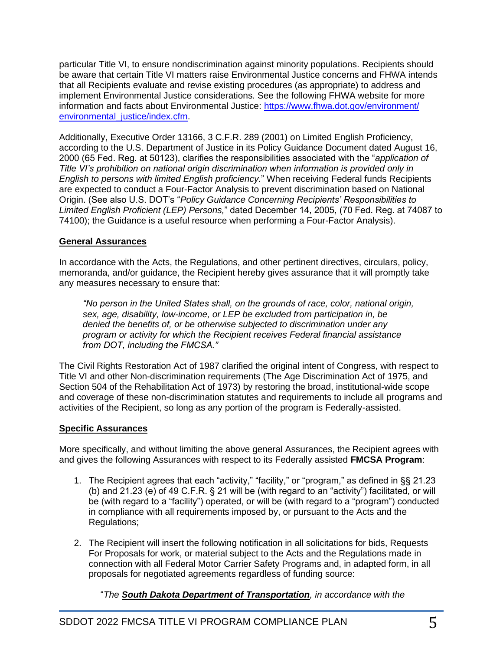particular Title VI, to ensure nondiscrimination against minority populations. Recipients should be aware that certain Title VI matters raise Environmental Justice concerns and FHWA intends that all Recipients evaluate and revise existing procedures (as appropriate) to address and implement Environmental Justice considerations. See the following FHWA website for more information and facts about Environmental Justice: [https://www.fhwa.dot.gov/environment/](https://www.fhwa.dot.gov/environment/‌environmental_justice/index.cfm) [environmental\\_justice/index.cfm.](https://www.fhwa.dot.gov/environment/‌environmental_justice/index.cfm)

Additionally, Executive Order 13166, 3 C.F.R. 289 (2001) on Limited English Proficiency, according to the U.S. Department of Justice in its Policy Guidance Document dated August 16, 2000 (65 Fed. Reg. at 50123), clarifies the responsibilities associated with the "*application of Title VI's prohibition on national origin discrimination when information is provided only in English to persons with limited English proficiency*." When receiving Federal funds Recipients are expected to conduct a Four-Factor Analysis to prevent discrimination based on National Origin. (See also U.S. DOT's "*Policy Guidance Concerning Recipients' Responsibilities to Limited English Proficient (LEP) Persons,*" dated December 14, 2005, (70 Fed. Reg. at 74087 to 74100); the Guidance is a useful resource when performing a Four-Factor Analysis).

### **General Assurances**

In accordance with the Acts, the Regulations, and other pertinent directives, circulars, policy, memoranda, and/or guidance, the Recipient hereby gives assurance that it will promptly take any measures necessary to ensure that:

*"No person in the United States shall, on the grounds of race, color, national origin, sex, age, disability, low-income, or LEP be excluded from participation in, be denied the benefits of, or be otherwise subjected to discrimination under any program or activity for which the Recipient receives Federal financial assistance from DOT, including the FMCSA."*

The Civil Rights Restoration Act of 1987 clarified the original intent of Congress, with respect to Title VI and other Non-discrimination requirements (The Age Discrimination Act of 1975, and Section 504 of the Rehabilitation Act of 1973) by restoring the broad, institutional-wide scope and coverage of these non-discrimination statutes and requirements to include all programs and activities of the Recipient, so long as any portion of the program is Federally-assisted.

### **Specific Assurances**

More specifically, and without limiting the above general Assurances, the Recipient agrees with and gives the following Assurances with respect to its Federally assisted **FMCSA Program**:

- 1. The Recipient agrees that each "activity," "facility," or "program," as defined in §§ 21.23 (b) and 21.23 (e) of 49 C.F.R. § 21 will be (with regard to an "activity") facilitated, or will be (with regard to a "facility") operated, or will be (with regard to a "program") conducted in compliance with all requirements imposed by, or pursuant to the Acts and the Regulations;
- 2. The Recipient will insert the following notification in all solicitations for bids, Requests For Proposals for work, or material subject to the Acts and the Regulations made in connection with all Federal Motor Carrier Safety Programs and, in adapted form, in all proposals for negotiated agreements regardless of funding source:

"*The South Dakota Department of Transportation, in accordance with the*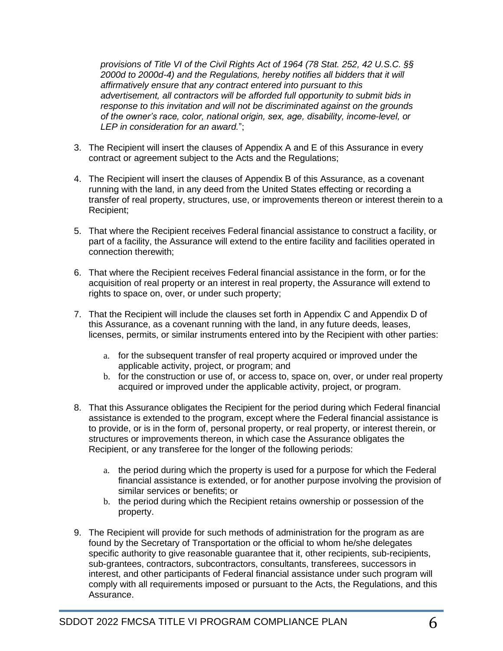*provisions of Title VI of the Civil Rights Act of 1964 (78 Stat. 252, 42 U.S.C. §§ 2000d to 2000d-4) and the Regulations, hereby notifies all bidders that it will affirmatively ensure that any contract entered into pursuant to this advertisement, all contractors will be afforded full opportunity to submit bids in response to this invitation and will not be discriminated against on the grounds of the owner's race, color, national origin, sex, age, disability, income-level, or LEP in consideration for an award.*";

- 3. The Recipient will insert the clauses of Appendix A and E of this Assurance in every contract or agreement subject to the Acts and the Regulations;
- 4. The Recipient will insert the clauses of Appendix B of this Assurance, as a covenant running with the land, in any deed from the United States effecting or recording a transfer of real property, structures, use, or improvements thereon or interest therein to a Recipient;
- 5. That where the Recipient receives Federal financial assistance to construct a facility, or part of a facility, the Assurance will extend to the entire facility and facilities operated in connection therewith;
- 6. That where the Recipient receives Federal financial assistance in the form, or for the acquisition of real property or an interest in real property, the Assurance will extend to rights to space on, over, or under such property;
- 7. That the Recipient will include the clauses set forth in Appendix C and Appendix D of this Assurance, as a covenant running with the land, in any future deeds, leases, licenses, permits, or similar instruments entered into by the Recipient with other parties:
	- a. for the subsequent transfer of real property acquired or improved under the applicable activity, project, or program; and
	- b. for the construction or use of, or access to, space on, over, or under real property acquired or improved under the applicable activity, project, or program.
- 8. That this Assurance obligates the Recipient for the period during which Federal financial assistance is extended to the program, except where the Federal financial assistance is to provide, or is in the form of, personal property, or real property, or interest therein, or structures or improvements thereon, in which case the Assurance obligates the Recipient, or any transferee for the longer of the following periods:
	- a. the period during which the property is used for a purpose for which the Federal financial assistance is extended, or for another purpose involving the provision of similar services or benefits; or
	- b. the period during which the Recipient retains ownership or possession of the property.
- 9. The Recipient will provide for such methods of administration for the program as are found by the Secretary of Transportation or the official to whom he/she delegates specific authority to give reasonable guarantee that it, other recipients, sub-recipients, sub-grantees, contractors, subcontractors, consultants, transferees, successors in interest, and other participants of Federal financial assistance under such program will comply with all requirements imposed or pursuant to the Acts, the Regulations, and this Assurance.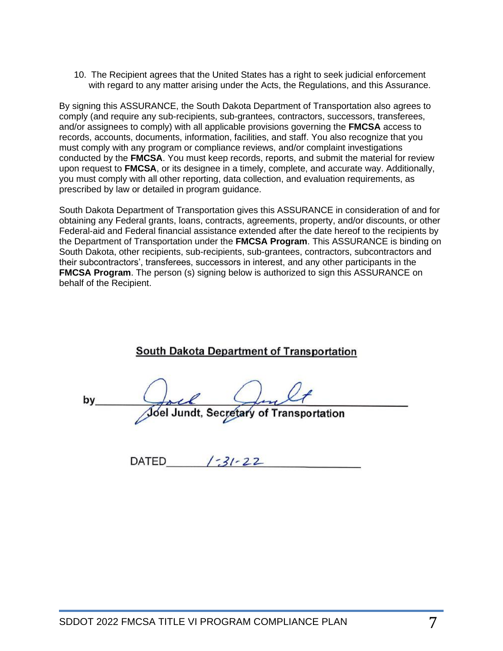10. The Recipient agrees that the United States has a right to seek judicial enforcement with regard to any matter arising under the Acts, the Regulations, and this Assurance.

By signing this ASSURANCE, the South Dakota Department of Transportation also agrees to comply (and require any sub-recipients, sub-grantees, contractors, successors, transferees, and/or assignees to comply) with all applicable provisions governing the **FMCSA** access to records, accounts, documents, information, facilities, and staff. You also recognize that you must comply with any program or compliance reviews, and/or complaint investigations conducted by the **FMCSA**. You must keep records, reports, and submit the material for review upon request to **FMCSA**, or its designee in a timely, complete, and accurate way. Additionally, you must comply with all other reporting, data collection, and evaluation requirements, as prescribed by law or detailed in program guidance.

South Dakota Department of Transportation gives this ASSURANCE in consideration of and for obtaining any Federal grants, loans, contracts, agreements, property, and/or discounts, or other Federal-aid and Federal financial assistance extended after the date hereof to the recipients by the Department of Transportation under the **FMCSA Program**. This ASSURANCE is binding on South Dakota, other recipients, sub-recipients, sub-grantees, contractors, subcontractors and their subcontractors', transferees, successors in interest, and any other participants in the **FMCSA Program.** The person (s) signing below is authorized to sign this ASSURANCE on behalf of the Recipient.

|    | <b>South Dakota Department of Transportation</b> |                                         |  |
|----|--------------------------------------------------|-----------------------------------------|--|
| b٧ |                                                  | Joel Jundt, Secretary of Transportation |  |

DATED  $\frac{3!}{22}$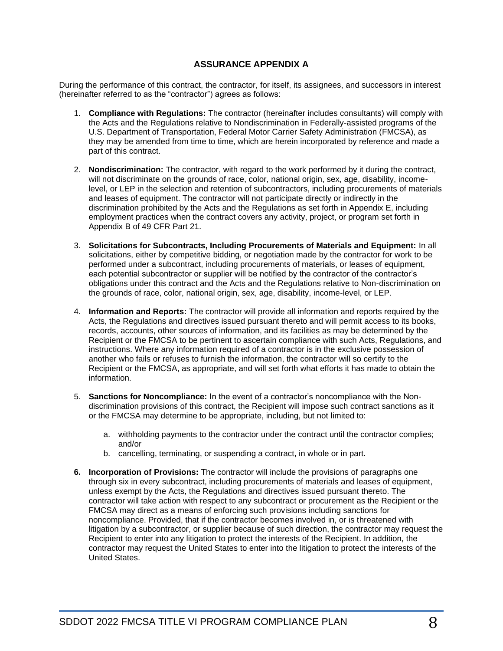### **ASSURANCE APPENDIX A**

During the performance of this contract, the contractor, for itself, its assignees, and successors in interest (hereinafter referred to as the "contractor") agrees as follows:

- 1. **Compliance with Regulations:** The contractor (hereinafter includes consultants) will comply with the Acts and the Regulations relative to Nondiscrimination in Federally-assisted programs of the U.S. Department of Transportation, Federal Motor Carrier Safety Administration (FMCSA), as they may be amended from time to time, which are herein incorporated by reference and made a part of this contract.
- 2. **Nondiscrimination:** The contractor, with regard to the work performed by it during the contract, will not discriminate on the grounds of race, color, national origin, sex, age, disability, incomelevel, or LEP in the selection and retention of subcontractors, including procurements of materials and leases of equipment. The contractor will not participate directly or indirectly in the discrimination prohibited by the Acts and the Regulations as set forth in Appendix E, including employment practices when the contract covers any activity, project, or program set forth in Appendix B of 49 CFR Part 21.
- 3. **Solicitations for Subcontracts, Including Procurements of Materials and Equipment:** In all solicitations, either by competitive bidding, or negotiation made by the contractor for work to be performed under a subcontract, including procurements of materials, or leases of equipment, each potential subcontractor or supplier will be notified by the contractor of the contractor's obligations under this contract and the Acts and the Regulations relative to Non-discrimination on the grounds of race, color, national origin, sex, age, disability, income-level, or LEP.
- 4. **Information and Reports:** The contractor will provide all information and reports required by the Acts, the Regulations and directives issued pursuant thereto and will permit access to its books, records, accounts, other sources of information, and its facilities as may be determined by the Recipient or the FMCSA to be pertinent to ascertain compliance with such Acts, Regulations, and instructions. Where any information required of a contractor is in the exclusive possession of another who fails or refuses to furnish the information, the contractor will so certify to the Recipient or the FMCSA, as appropriate, and will set forth what efforts it has made to obtain the information.
- 5. **Sanctions for Noncompliance:** In the event of a contractor's noncompliance with the Nondiscrimination provisions of this contract, the Recipient will impose such contract sanctions as it or the FMCSA may determine to be appropriate, including, but not limited to:
	- a. withholding payments to the contractor under the contract until the contractor complies; and/or
	- b. cancelling, terminating, or suspending a contract, in whole or in part.
- **6. Incorporation of Provisions:** The contractor will include the provisions of paragraphs one through six in every subcontract, including procurements of materials and leases of equipment, unless exempt by the Acts, the Regulations and directives issued pursuant thereto. The contractor will take action with respect to any subcontract or procurement as the Recipient or the FMCSA may direct as a means of enforcing such provisions including sanctions for noncompliance. Provided, that if the contractor becomes involved in, or is threatened with litigation by a subcontractor, or supplier because of such direction, the contractor may request the Recipient to enter into any litigation to protect the interests of the Recipient. In addition, the contractor may request the United States to enter into the litigation to protect the interests of the United States.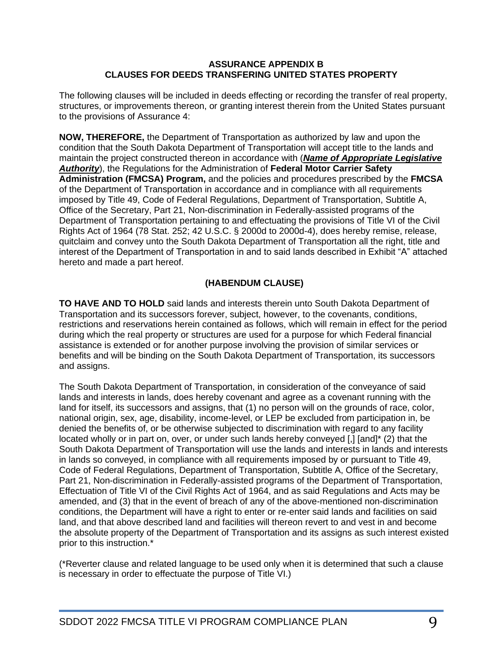### **ASSURANCE APPENDIX B CLAUSES FOR DEEDS TRANSFERING UNITED STATES PROPERTY**

The following clauses will be included in deeds effecting or recording the transfer of real property, structures, or improvements thereon, or granting interest therein from the United States pursuant to the provisions of Assurance 4:

**NOW, THEREFORE,** the Department of Transportation as authorized by law and upon the condition that the South Dakota Department of Transportation will accept title to the lands and maintain the project constructed thereon in accordance with (*Name of Appropriate Legislative Authority*), the Regulations for the Administration of **Federal Motor Carrier Safety Administration (FMCSA) Program,** and the policies and procedures prescribed by the **FMCSA** of the Department of Transportation in accordance and in compliance with all requirements imposed by Title 49, Code of Federal Regulations, Department of Transportation, Subtitle A, Office of the Secretary, Part 21, Non-discrimination in Federally-assisted programs of the Department of Transportation pertaining to and effectuating the provisions of Title VI of the Civil Rights Act of 1964 (78 Stat. 252; 42 U.S.C. § 2000d to 2000d-4), does hereby remise, release, quitclaim and convey unto the South Dakota Department of Transportation all the right, title and interest of the Department of Transportation in and to said lands described in Exhibit "A" attached hereto and made a part hereof.

### **(HABENDUM CLAUSE)**

**TO HAVE AND TO HOLD** said lands and interests therein unto South Dakota Department of Transportation and its successors forever, subject, however, to the covenants, conditions, restrictions and reservations herein contained as follows, which will remain in effect for the period during which the real property or structures are used for a purpose for which Federal financial assistance is extended or for another purpose involving the provision of similar services or benefits and will be binding on the South Dakota Department of Transportation, its successors and assigns.

The South Dakota Department of Transportation, in consideration of the conveyance of said lands and interests in lands, does hereby covenant and agree as a covenant running with the land for itself, its successors and assigns, that (1) no person will on the grounds of race, color, national origin, sex, age, disability, income-level, or LEP be excluded from participation in, be denied the benefits of, or be otherwise subjected to discrimination with regard to any facility located wholly or in part on, over, or under such lands hereby conveyed [,] [and]\* (2) that the South Dakota Department of Transportation will use the lands and interests in lands and interests in lands so conveyed, in compliance with all requirements imposed by or pursuant to Title 49, Code of Federal Regulations, Department of Transportation, Subtitle A, Office of the Secretary, Part 21, Non-discrimination in Federally-assisted programs of the Department of Transportation, Effectuation of Title VI of the Civil Rights Act of 1964, and as said Regulations and Acts may be amended, and (3) that in the event of breach of any of the above-mentioned non-discrimination conditions, the Department will have a right to enter or re-enter said lands and facilities on said land, and that above described land and facilities will thereon revert to and vest in and become the absolute property of the Department of Transportation and its assigns as such interest existed prior to this instruction.\*

(\*Reverter clause and related language to be used only when it is determined that such a clause is necessary in order to effectuate the purpose of Title VI.)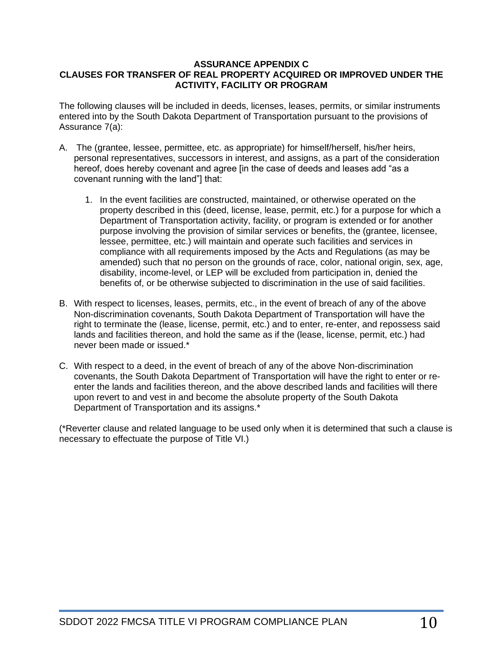### **ASSURANCE APPENDIX C CLAUSES FOR TRANSFER OF REAL PROPERTY ACQUIRED OR IMPROVED UNDER THE ACTIVITY, FACILITY OR PROGRAM**

The following clauses will be included in deeds, licenses, leases, permits, or similar instruments entered into by the South Dakota Department of Transportation pursuant to the provisions of Assurance 7(a):

- A. The (grantee, lessee, permittee, etc. as appropriate) for himself/herself, his/her heirs, personal representatives, successors in interest, and assigns, as a part of the consideration hereof, does hereby covenant and agree [in the case of deeds and leases add "as a covenant running with the land"] that:
	- 1. In the event facilities are constructed, maintained, or otherwise operated on the property described in this (deed, license, lease, permit, etc.) for a purpose for which a Department of Transportation activity, facility, or program is extended or for another purpose involving the provision of similar services or benefits, the (grantee, licensee, lessee, permittee, etc.) will maintain and operate such facilities and services in compliance with all requirements imposed by the Acts and Regulations (as may be amended) such that no person on the grounds of race, color, national origin, sex, age, disability, income-level, or LEP will be excluded from participation in, denied the benefits of, or be otherwise subjected to discrimination in the use of said facilities.
- B. With respect to licenses, leases, permits, etc., in the event of breach of any of the above Non-discrimination covenants, South Dakota Department of Transportation will have the right to terminate the (lease, license, permit, etc.) and to enter, re-enter, and repossess said lands and facilities thereon, and hold the same as if the (lease, license, permit, etc.) had never been made or issued.\*
- C. With respect to a deed, in the event of breach of any of the above Non-discrimination covenants, the South Dakota Department of Transportation will have the right to enter or reenter the lands and facilities thereon, and the above described lands and facilities will there upon revert to and vest in and become the absolute property of the South Dakota Department of Transportation and its assigns.\*

(\*Reverter clause and related language to be used only when it is determined that such a clause is necessary to effectuate the purpose of Title VI.)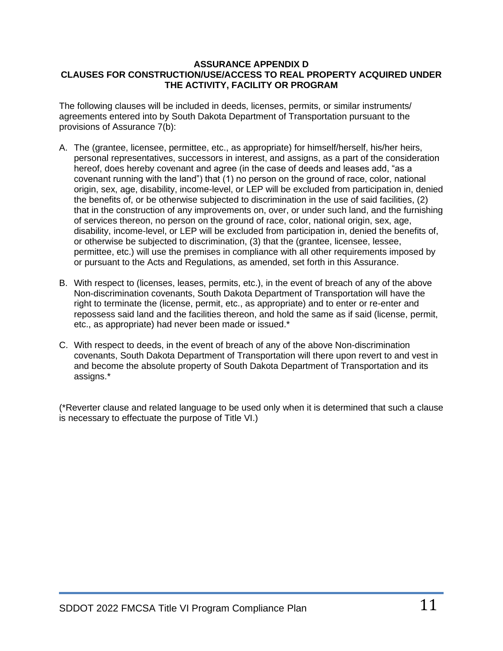### **ASSURANCE APPENDIX D CLAUSES FOR CONSTRUCTION/USE/ACCESS TO REAL PROPERTY ACQUIRED UNDER THE ACTIVITY, FACILITY OR PROGRAM**

The following clauses will be included in deeds, licenses, permits, or similar instruments/ agreements entered into by South Dakota Department of Transportation pursuant to the provisions of Assurance 7(b):

- A. The (grantee, licensee, permittee, etc., as appropriate) for himself/herself, his/her heirs, personal representatives, successors in interest, and assigns, as a part of the consideration hereof, does hereby covenant and agree (in the case of deeds and leases add, "as a covenant running with the land") that (1) no person on the ground of race, color, national origin, sex, age, disability, income-level, or LEP will be excluded from participation in, denied the benefits of, or be otherwise subjected to discrimination in the use of said facilities, (2) that in the construction of any improvements on, over, or under such land, and the furnishing of services thereon, no person on the ground of race, color, national origin, sex, age, disability, income-level, or LEP will be excluded from participation in, denied the benefits of, or otherwise be subjected to discrimination, (3) that the (grantee, licensee, lessee, permittee, etc.) will use the premises in compliance with all other requirements imposed by or pursuant to the Acts and Regulations, as amended, set forth in this Assurance.
- B. With respect to (licenses, leases, permits, etc.), in the event of breach of any of the above Non-discrimination covenants, South Dakota Department of Transportation will have the right to terminate the (license, permit, etc., as appropriate) and to enter or re-enter and repossess said land and the facilities thereon, and hold the same as if said (license, permit, etc., as appropriate) had never been made or issued.\*
- C. With respect to deeds, in the event of breach of any of the above Non-discrimination covenants, South Dakota Department of Transportation will there upon revert to and vest in and become the absolute property of South Dakota Department of Transportation and its assigns.\*

(\*Reverter clause and related language to be used only when it is determined that such a clause is necessary to effectuate the purpose of Title VI.)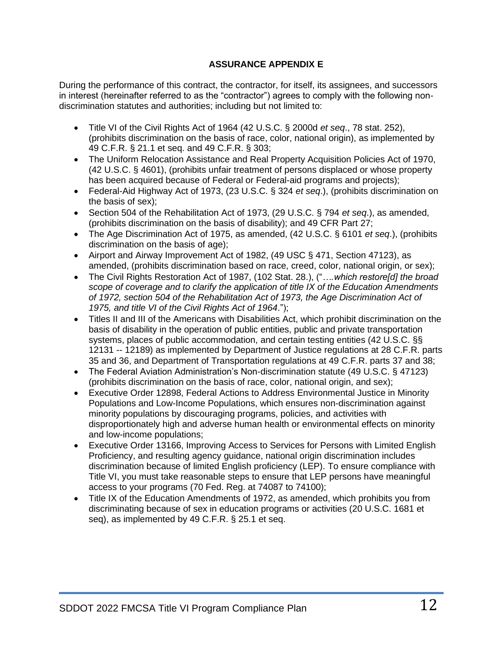### **ASSURANCE APPENDIX E**

During the performance of this contract, the contractor, for itself, its assignees, and successors in interest (hereinafter referred to as the "contractor") agrees to comply with the following nondiscrimination statutes and authorities; including but not limited to:

- Title VI of the Civil Rights Act of 1964 (42 U.S.C. § 2000d *et seq*., 78 stat. 252), (prohibits discrimination on the basis of race, color, national origin), as implemented by [49 C.F.R. § 21.1 et seq.](http://www.gpo.gov/fdsys/pkg/CFR-2011-title49-vol1/xml/CFR-2011-title49-vol1-part21.xml) and 49 C.F.R. § 303;
- The Uniform Relocation Assistance and Real Property Acquisition Policies Act of 1970, (42 U.S.C. § 4601), (prohibits unfair treatment of persons displaced or whose property has been acquired because of Federal or Federal-aid programs and projects);
- Federal-Aid Highway Act of 1973, (23 U.S.C. § 324 *et seq*.), (prohibits discrimination on the basis of sex);
- Section 504 of the Rehabilitation Act of 1973, (29 U.S.C. § 794 *et seq*.), as amended, (prohibits discrimination on the basis of disability); and 49 CFR Part 27;
- The Age Discrimination Act of 1975, as amended, (42 U.S.C. § 6101 *et seq*.), (prohibits discrimination on the basis of age);
- Airport and Airway Improvement Act of 1982, (49 USC § 471, Section 47123), as amended, (prohibits discrimination based on race, creed, color, national origin, or sex);
- The Civil Rights Restoration Act of 1987, [\(102 Stat. 28.](http://www.gpo.gov/fdsys/pkg/STATUTE-102/pdf/STATUTE-102-Pg28.pdf)), ("*….which restore[d] the broad scope of coverage and to clarify the application of title IX of the Education Amendments of 1972, section 504 of the Rehabilitation Act of 1973, the Age Discrimination Act of 1975, and title VI of the Civil Rights Act of 1964*.");
- Titles II and III of the Americans with Disabilities Act, which prohibit discrimination on the basis of disability in the operation of public entities, public and private transportation systems, places of public accommodation, and certain testing entities (42 U.S.C. §§ 12131 -- 12189) as implemented by Department of Justice regulations at 28 C.F.R. parts 35 and 36, and Department of Transportation regulations at 49 C.F.R. parts 37 and 38;
- The Federal Aviation Administration's Non-discrimination statute (49 U.S.C. § 47123) (prohibits discrimination on the basis of race, color, national origin, and sex);
- Executive Order 12898, Federal Actions to Address Environmental Justice in Minority Populations and Low-Income Populations, which ensures non-discrimination against minority populations by discouraging programs, policies, and activities with disproportionately high and adverse human health or environmental effects on minority and low-income populations;
- Executive Order 13166, Improving Access to Services for Persons with Limited English Proficiency, and resulting agency guidance, national origin discrimination includes discrimination because of limited English proficiency (LEP). To ensure compliance with Title VI, you must take reasonable steps to ensure that LEP persons have meaningful access to your programs (70 Fed. Reg. at 74087 to 74100);
- Title IX of the Education Amendments of 1972, as amended, which prohibits you from discriminating because of sex in education programs or activities (20 U.S.C. 1681 et seq), as implemented by [49 C.F.R. § 25.1 et seq.](http://www.gpo.gov/fdsys/pkg/CFR-2011-title49-vol1/xml/CFR-2011-title49-vol1-part25.xml)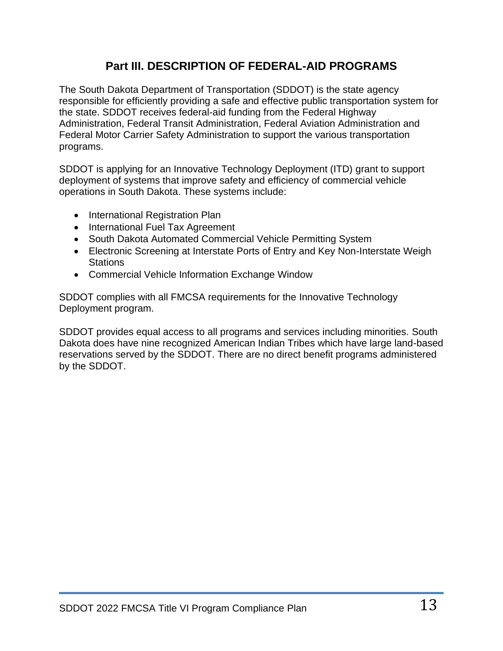# **Part III. DESCRIPTION OF FEDERAL-AID PROGRAMS**

The South Dakota Department of Transportation (SDDOT) is the state agency responsible for efficiently providing a safe and effective public transportation system for the state. SDDOT receives federal-aid funding from the Federal Highway Administration, Federal Transit Administration, Federal Aviation Administration and Federal Motor Carrier Safety Administration to support the various transportation programs.

SDDOT is applying for an Innovative Technology Deployment (ITD) grant to support deployment of systems that improve safety and efficiency of commercial vehicle operations in South Dakota. These systems include:

- International Registration Plan
- International Fuel Tax Agreement
- South Dakota Automated Commercial Vehicle Permitting System
- Electronic Screening at Interstate Ports of Entry and Key Non-Interstate Weigh **Stations**
- Commercial Vehicle Information Exchange Window

SDDOT complies with all FMCSA requirements for the Innovative Technology Deployment program.

SDDOT provides equal access to all programs and services including minorities. South Dakota does have nine recognized American Indian Tribes which have large land-based reservations served by the SDDOT. There are no direct benefit programs administered by the SDDOT.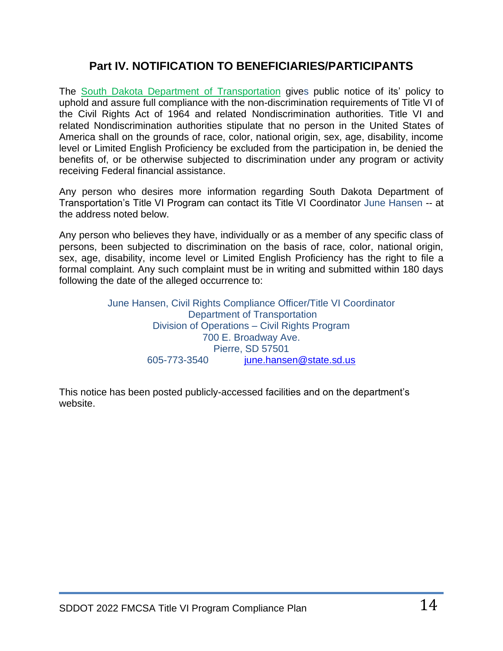# **Part IV. NOTIFICATION TO BENEFICIARIES/PARTICIPANTS**

The South Dakota Department of Transportation gives public notice of its' policy to uphold and assure full compliance with the non-discrimination requirements of Title VI of the Civil Rights Act of 1964 and related Nondiscrimination authorities. Title VI and related Nondiscrimination authorities stipulate that no person in the United States of America shall on the grounds of race, color, national origin, sex, age, disability, income level or Limited English Proficiency be excluded from the participation in, be denied the benefits of, or be otherwise subjected to discrimination under any program or activity receiving Federal financial assistance.

Any person who desires more information regarding South Dakota Department of Transportation's Title VI Program can contact its Title VI Coordinator June Hansen -- at the address noted below.

Any person who believes they have, individually or as a member of any specific class of persons, been subjected to discrimination on the basis of race, color, national origin, sex, age, disability, income level or Limited English Proficiency has the right to file a formal complaint. Any such complaint must be in writing and submitted within 180 days following the date of the alleged occurrence to:

> June Hansen, Civil Rights Compliance Officer/Title VI Coordinator Department of Transportation Division of Operations – Civil Rights Program 700 E. Broadway Ave. Pierre, SD 57501 605-773-3540 [june.hansen@state.sd.us](mailto:june.hansen@state.sd.us)

This notice has been posted publicly-accessed facilities and on the department's website.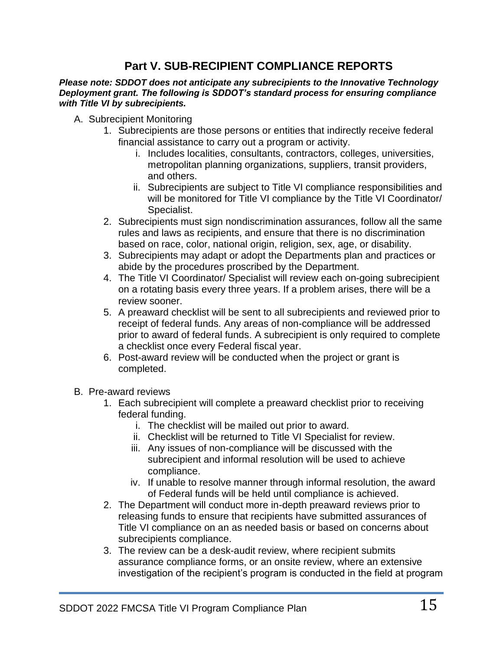# **Part V. SUB-RECIPIENT COMPLIANCE REPORTS**

*Please note: SDDOT does not anticipate any subrecipients to the Innovative Technology Deployment grant. The following is SDDOT's standard process for ensuring compliance with Title VI by subrecipients.*

- A. Subrecipient Monitoring
	- 1. Subrecipients are those persons or entities that indirectly receive federal financial assistance to carry out a program or activity.
		- i. Includes localities, consultants, contractors, colleges, universities, metropolitan planning organizations, suppliers, transit providers, and others.
		- ii. Subrecipients are subject to Title VI compliance responsibilities and will be monitored for Title VI compliance by the Title VI Coordinator/ Specialist.
	- 2. Subrecipients must sign nondiscrimination assurances, follow all the same rules and laws as recipients, and ensure that there is no discrimination based on race, color, national origin, religion, sex, age, or disability.
	- 3. Subrecipients may adapt or adopt the Departments plan and practices or abide by the procedures proscribed by the Department.
	- 4. The Title VI Coordinator/ Specialist will review each on-going subrecipient on a rotating basis every three years. If a problem arises, there will be a review sooner.
	- 5. A preaward checklist will be sent to all subrecipients and reviewed prior to receipt of federal funds. Any areas of non-compliance will be addressed prior to award of federal funds. A subrecipient is only required to complete a checklist once every Federal fiscal year.
	- 6. Post-award review will be conducted when the project or grant is completed.
- B. Pre-award reviews
	- 1. Each subrecipient will complete a preaward checklist prior to receiving federal funding.
		- i. The checklist will be mailed out prior to award.
		- ii. Checklist will be returned to Title VI Specialist for review.
		- iii. Any issues of non-compliance will be discussed with the subrecipient and informal resolution will be used to achieve compliance.
		- iv. If unable to resolve manner through informal resolution, the award of Federal funds will be held until compliance is achieved.
	- 2. The Department will conduct more in-depth preaward reviews prior to releasing funds to ensure that recipients have submitted assurances of Title VI compliance on an as needed basis or based on concerns about subrecipients compliance.
	- 3. The review can be a desk-audit review, where recipient submits assurance compliance forms, or an onsite review, where an extensive investigation of the recipient's program is conducted in the field at program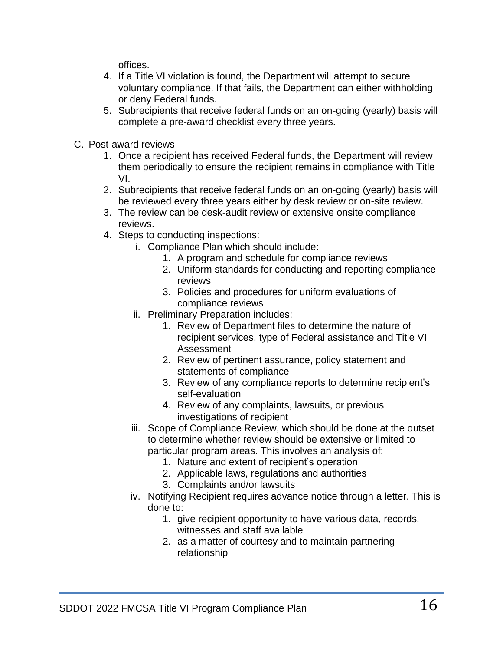offices.

- 4. If a Title VI violation is found, the Department will attempt to secure voluntary compliance. If that fails, the Department can either withholding or deny Federal funds.
- 5. Subrecipients that receive federal funds on an on-going (yearly) basis will complete a pre-award checklist every three years.
- C. Post-award reviews
	- 1. Once a recipient has received Federal funds, the Department will review them periodically to ensure the recipient remains in compliance with Title VI.
	- 2. Subrecipients that receive federal funds on an on-going (yearly) basis will be reviewed every three years either by desk review or on-site review.
	- 3. The review can be desk-audit review or extensive onsite compliance reviews.
	- 4. Steps to conducting inspections:
		- i. Compliance Plan which should include:
			- 1. A program and schedule for compliance reviews
			- 2. Uniform standards for conducting and reporting compliance reviews
			- 3. Policies and procedures for uniform evaluations of compliance reviews
		- ii. Preliminary Preparation includes:
			- 1. Review of Department files to determine the nature of recipient services, type of Federal assistance and Title VI Assessment
			- 2. Review of pertinent assurance, policy statement and statements of compliance
			- 3. Review of any compliance reports to determine recipient's self-evaluation
			- 4. Review of any complaints, lawsuits, or previous investigations of recipient
		- iii. Scope of Compliance Review, which should be done at the outset to determine whether review should be extensive or limited to particular program areas. This involves an analysis of:
			- 1. Nature and extent of recipient's operation
			- 2. Applicable laws, regulations and authorities
			- 3. Complaints and/or lawsuits
		- iv. Notifying Recipient requires advance notice through a letter. This is done to:
			- 1. give recipient opportunity to have various data, records, witnesses and staff available
			- 2. as a matter of courtesy and to maintain partnering relationship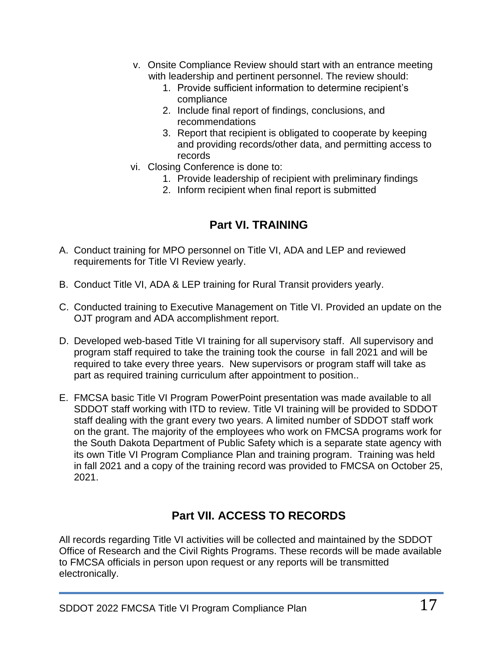- v. Onsite Compliance Review should start with an entrance meeting with leadership and pertinent personnel. The review should:
	- 1. Provide sufficient information to determine recipient's compliance
	- 2. Include final report of findings, conclusions, and recommendations
	- 3. Report that recipient is obligated to cooperate by keeping and providing records/other data, and permitting access to records
- vi. Closing Conference is done to:
	- 1. Provide leadership of recipient with preliminary findings
	- 2. Inform recipient when final report is submitted

# **Part VI. TRAINING**

- A. Conduct training for MPO personnel on Title VI, ADA and LEP and reviewed requirements for Title VI Review yearly.
- B. Conduct Title VI, ADA & LEP training for Rural Transit providers yearly.
- C. Conducted training to Executive Management on Title VI. Provided an update on the OJT program and ADA accomplishment report.
- D. Developed web-based Title VI training for all supervisory staff. All supervisory and program staff required to take the training took the course in fall 2021 and will be required to take every three years. New supervisors or program staff will take as part as required training curriculum after appointment to position..
- E. FMCSA basic Title VI Program PowerPoint presentation was made available to all SDDOT staff working with ITD to review. Title VI training will be provided to SDDOT staff dealing with the grant every two years. A limited number of SDDOT staff work on the grant. The majority of the employees who work on FMCSA programs work for the South Dakota Department of Public Safety which is a separate state agency with its own Title VI Program Compliance Plan and training program. Training was held in fall 2021 and a copy of the training record was provided to FMCSA on October 25, 2021.

# **Part VII. ACCESS TO RECORDS**

All records regarding Title VI activities will be collected and maintained by the SDDOT Office of Research and the Civil Rights Programs. These records will be made available to FMCSA officials in person upon request or any reports will be transmitted electronically.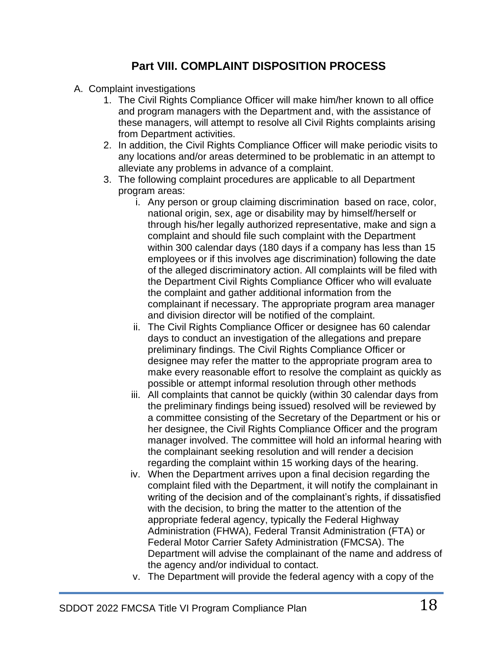# **Part VIII. COMPLAINT DISPOSITION PROCESS**

- A. Complaint investigations
	- 1. The Civil Rights Compliance Officer will make him/her known to all office and program managers with the Department and, with the assistance of these managers, will attempt to resolve all Civil Rights complaints arising from Department activities.
	- 2. In addition, the Civil Rights Compliance Officer will make periodic visits to any locations and/or areas determined to be problematic in an attempt to alleviate any problems in advance of a complaint.
	- 3. The following complaint procedures are applicable to all Department program areas:
		- i. Any person or group claiming discrimination based on race, color, national origin, sex, age or disability may by himself/herself or through his/her legally authorized representative, make and sign a complaint and should file such complaint with the Department within 300 calendar days (180 days if a company has less than 15 employees or if this involves age discrimination) following the date of the alleged discriminatory action. All complaints will be filed with the Department Civil Rights Compliance Officer who will evaluate the complaint and gather additional information from the complainant if necessary. The appropriate program area manager and division director will be notified of the complaint.
		- ii. The Civil Rights Compliance Officer or designee has 60 calendar days to conduct an investigation of the allegations and prepare preliminary findings. The Civil Rights Compliance Officer or designee may refer the matter to the appropriate program area to make every reasonable effort to resolve the complaint as quickly as possible or attempt informal resolution through other methods
		- iii. All complaints that cannot be quickly (within 30 calendar days from the preliminary findings being issued) resolved will be reviewed by a committee consisting of the Secretary of the Department or his or her designee, the Civil Rights Compliance Officer and the program manager involved. The committee will hold an informal hearing with the complainant seeking resolution and will render a decision regarding the complaint within 15 working days of the hearing.
		- iv. When the Department arrives upon a final decision regarding the complaint filed with the Department, it will notify the complainant in writing of the decision and of the complainant's rights, if dissatisfied with the decision, to bring the matter to the attention of the appropriate federal agency, typically the Federal Highway Administration (FHWA), Federal Transit Administration (FTA) or Federal Motor Carrier Safety Administration (FMCSA). The Department will advise the complainant of the name and address of the agency and/or individual to contact.
		- v. The Department will provide the federal agency with a copy of the